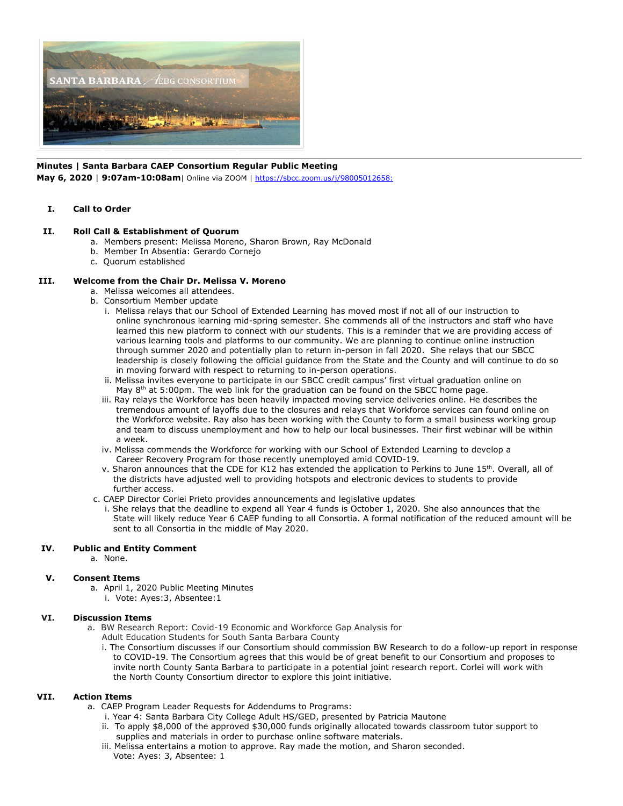

# **Minutes | Santa Barbara CAEP Consortium Regular Public Meeting**

**May 6, 2020** | **9:07am-10:08am**| Online via ZOOM |<https://sbcc.zoom.us/j/98005012658:>

#### **I. Call to Order**

## **II. Roll Call & Establishment of Quorum**

- a. Members present: Melissa Moreno, Sharon Brown, Ray McDonald
- b. Member In Absentia: Gerardo Cornejo
- c. Quorum established

## **III. Welcome from the Chair Dr. Melissa V. Moreno**

- a. Melissa welcomes all attendees.
- b. Consortium Member update
	- i. Melissa relays that our School of Extended Learning has moved most if not all of our instruction to online synchronous learning mid-spring semester. She commends all of the instructors and staff who have learned this new platform to connect with our students. This is a reminder that we are providing access of various learning tools and platforms to our community. We are planning to continue online instruction through summer 2020 and potentially plan to return in-person in fall 2020. She relays that our SBCC leadership is closely following the official guidance from the State and the County and will continue to do so in moving forward with respect to returning to in-person operations.
	- ii. Melissa invites everyone to participate in our SBCC credit campus' first virtual graduation online on May 8<sup>th</sup> at 5:00pm. The web link for the graduation can be found on the SBCC home page.
	- iii. Ray relays the Workforce has been heavily impacted moving service deliveries online. He describes the tremendous amount of layoffs due to the closures and relays that Workforce services can found online on the Workforce website. Ray also has been working with the County to form a small business working group and team to discuss unemployment and how to help our local businesses. Their first webinar will be within a week.
	- iv. Melissa commends the Workforce for working with our School of Extended Learning to develop a Career Recovery Program for those recently unemployed amid COVID-19.
	- v. Sharon announces that the CDE for K12 has extended the application to Perkins to June 15th. Overall, all of the districts have adjusted well to providing hotspots and electronic devices to students to provide further access.
- c. CAEP Director Corlei Prieto provides announcements and legislative updates
- i. She relays that the deadline to expend all Year 4 funds is October 1, 2020. She also announces that the State will likely reduce Year 6 CAEP funding to all Consortia. A formal notification of the reduced amount will be sent to all Consortia in the middle of May 2020.

#### **IV. Public and Entity Comment**

a. None.

#### **V. Consent Items**

 a. April 1, 2020 Public Meeting Minutes i. Vote: Ayes:3, Absentee:1

#### **VI. Discussion Items**

- a. BW Research Report: Covid-19 Economic and Workforce Gap Analysis for
	- Adult Education Students for South Santa Barbara County
	- i. The Consortium discusses if our Consortium should commission BW Research to do a follow-up report in response to COVID-19. The Consortium agrees that this would be of great benefit to our Consortium and proposes to invite north County Santa Barbara to participate in a potential joint research report. Corlei will work with the North County Consortium director to explore this joint initiative.

# **VII. Action Items**

- a. CAEP Program Leader Requests for Addendums to Programs:
	- i. Year 4: Santa Barbara City College Adult HS/GED, presented by Patricia Mautone
	- ii. To apply \$8,000 of the approved \$30,000 funds originally allocated towards classroom tutor support to supplies and materials in order to purchase online software materials.
	- iii. Melissa entertains a motion to approve. Ray made the motion, and Sharon seconded. Vote: Ayes: 3, Absentee: 1